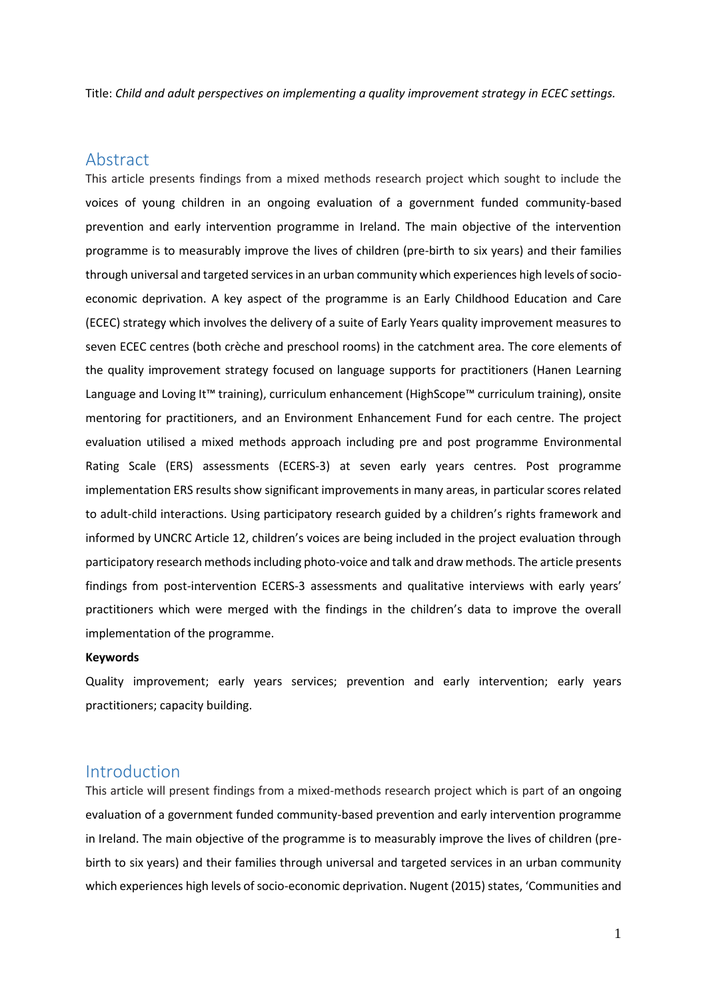Title: *Child and adult perspectives on implementing a quality improvement strategy in ECEC settings.*

## Abstract

This article presents findings from a mixed methods research project which sought to include the voices of young children in an ongoing evaluation of a government funded community-based prevention and early intervention programme in Ireland. The main objective of the intervention programme is to measurably improve the lives of children (pre-birth to six years) and their families through universal and targeted services in an urban community which experiences high levels of socioeconomic deprivation. A key aspect of the programme is an Early Childhood Education and Care (ECEC) strategy which involves the delivery of a suite of Early Years quality improvement measures to seven ECEC centres (both crèche and preschool rooms) in the catchment area. The core elements of the quality improvement strategy focused on language supports for practitioners (Hanen Learning Language and Loving It™ training), curriculum enhancement (HighScope™ curriculum training), onsite mentoring for practitioners, and an Environment Enhancement Fund for each centre. The project evaluation utilised a mixed methods approach including pre and post programme Environmental Rating Scale (ERS) assessments (ECERS-3) at seven early years centres. Post programme implementation ERS results show significant improvements in many areas, in particular scores related to adult-child interactions. Using participatory research guided by a children's rights framework and informed by UNCRC Article 12, children's voices are being included in the project evaluation through participatory research methods including photo-voice and talk and draw methods. The article presents findings from post-intervention ECERS-3 assessments and qualitative interviews with early years' practitioners which were merged with the findings in the children's data to improve the overall implementation of the programme.

### **Keywords**

Quality improvement; early years services; prevention and early intervention; early years practitioners; capacity building.

## Introduction

This article will present findings from a mixed-methods research project which is part of an ongoing evaluation of a government funded community-based prevention and early intervention programme in Ireland. The main objective of the programme is to measurably improve the lives of children (prebirth to six years) and their families through universal and targeted services in an urban community which experiences high levels of socio-economic deprivation. Nugent (2015) states, 'Communities and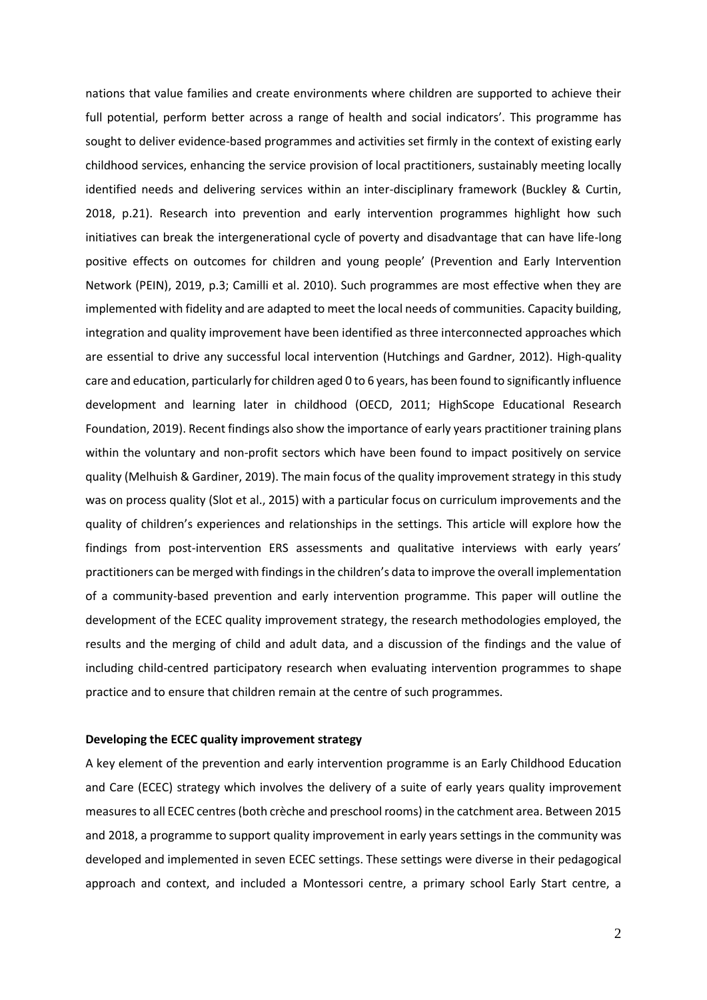nations that value families and create environments where children are supported to achieve their full potential, perform better across a range of health and social indicators'. This programme has sought to deliver evidence-based programmes and activities set firmly in the context of existing early childhood services, enhancing the service provision of local practitioners, sustainably meeting locally identified needs and delivering services within an inter-disciplinary framework (Buckley & Curtin, 2018, p.21). Research into prevention and early intervention programmes highlight how such initiatives can break the intergenerational cycle of poverty and disadvantage that can have life-long positive effects on outcomes for children and young people' (Prevention and Early Intervention Network (PEIN), 2019, p.3; Camilli et al. 2010). Such programmes are most effective when they are implemented with fidelity and are adapted to meet the local needs of communities. Capacity building, integration and quality improvement have been identified as three interconnected approaches which are essential to drive any successful local intervention (Hutchings and Gardner, 2012). High-quality care and education, particularly for children aged 0 to 6 years, has been found to significantly influence development and learning later in childhood (OECD, 2011; HighScope Educational Research Foundation, 2019). Recent findings also show the importance of early years practitioner training plans within the voluntary and non-profit sectors which have been found to impact positively on service quality (Melhuish & Gardiner, 2019). The main focus of the quality improvement strategy in this study was on process quality (Slot et al., 2015) with a particular focus on curriculum improvements and the quality of children's experiences and relationships in the settings. This article will explore how the findings from post-intervention ERS assessments and qualitative interviews with early years' practitioners can be merged with findings in the children's data to improve the overall implementation of a community-based prevention and early intervention programme. This paper will outline the development of the ECEC quality improvement strategy, the research methodologies employed, the results and the merging of child and adult data, and a discussion of the findings and the value of including child-centred participatory research when evaluating intervention programmes to shape practice and to ensure that children remain at the centre of such programmes.

### **Developing the ECEC quality improvement strategy**

A key element of the prevention and early intervention programme is an Early Childhood Education and Care (ECEC) strategy which involves the delivery of a suite of early years quality improvement measures to all ECEC centres (both crèche and preschool rooms) in the catchment area. Between 2015 and 2018, a programme to support quality improvement in early years settings in the community was developed and implemented in seven ECEC settings. These settings were diverse in their pedagogical approach and context, and included a Montessori centre, a primary school Early Start centre, a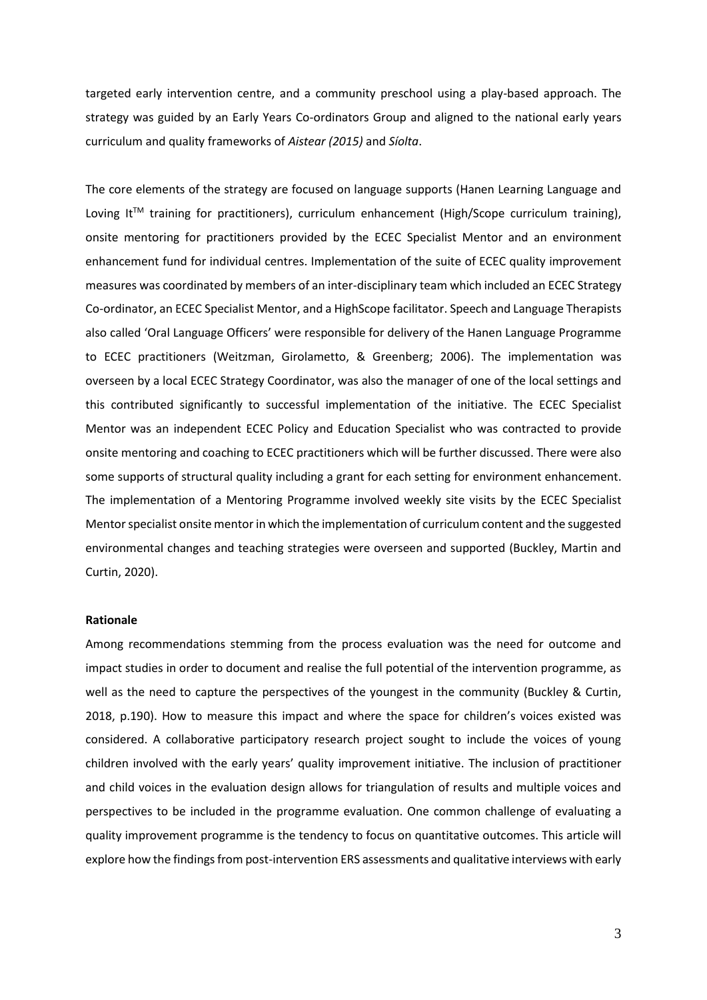targeted early intervention centre, and a community preschool using a play-based approach. The strategy was guided by an Early Years Co-ordinators Group and aligned to the national early years curriculum and quality frameworks of *Aistear (2015)* and *Síolta*.

The core elements of the strategy are focused on language supports (Hanen Learning Language and Loving It™ training for practitioners), curriculum enhancement (High/Scope curriculum training), onsite mentoring for practitioners provided by the ECEC Specialist Mentor and an environment enhancement fund for individual centres. Implementation of the suite of ECEC quality improvement measures was coordinated by members of an inter-disciplinary team which included an ECEC Strategy Co-ordinator, an ECEC Specialist Mentor, and a HighScope facilitator. Speech and Language Therapists also called 'Oral Language Officers' were responsible for delivery of the Hanen Language Programme to ECEC practitioners (Weitzman, Girolametto, & Greenberg; 2006). The implementation was overseen by a local ECEC Strategy Coordinator, was also the manager of one of the local settings and this contributed significantly to successful implementation of the initiative. The ECEC Specialist Mentor was an independent ECEC Policy and Education Specialist who was contracted to provide onsite mentoring and coaching to ECEC practitioners which will be further discussed. There were also some supports of structural quality including a grant for each setting for environment enhancement. The implementation of a Mentoring Programme involved weekly site visits by the ECEC Specialist Mentorspecialist onsite mentor in which the implementation of curriculum content and the suggested environmental changes and teaching strategies were overseen and supported (Buckley, Martin and Curtin, 2020).

### **Rationale**

Among recommendations stemming from the process evaluation was the need for outcome and impact studies in order to document and realise the full potential of the intervention programme, as well as the need to capture the perspectives of the youngest in the community (Buckley & Curtin, 2018, p.190). How to measure this impact and where the space for children's voices existed was considered. A collaborative participatory research project sought to include the voices of young children involved with the early years' quality improvement initiative. The inclusion of practitioner and child voices in the evaluation design allows for triangulation of results and multiple voices and perspectives to be included in the programme evaluation. One common challenge of evaluating a quality improvement programme is the tendency to focus on quantitative outcomes. This article will explore how the findings from post-intervention ERS assessments and qualitative interviews with early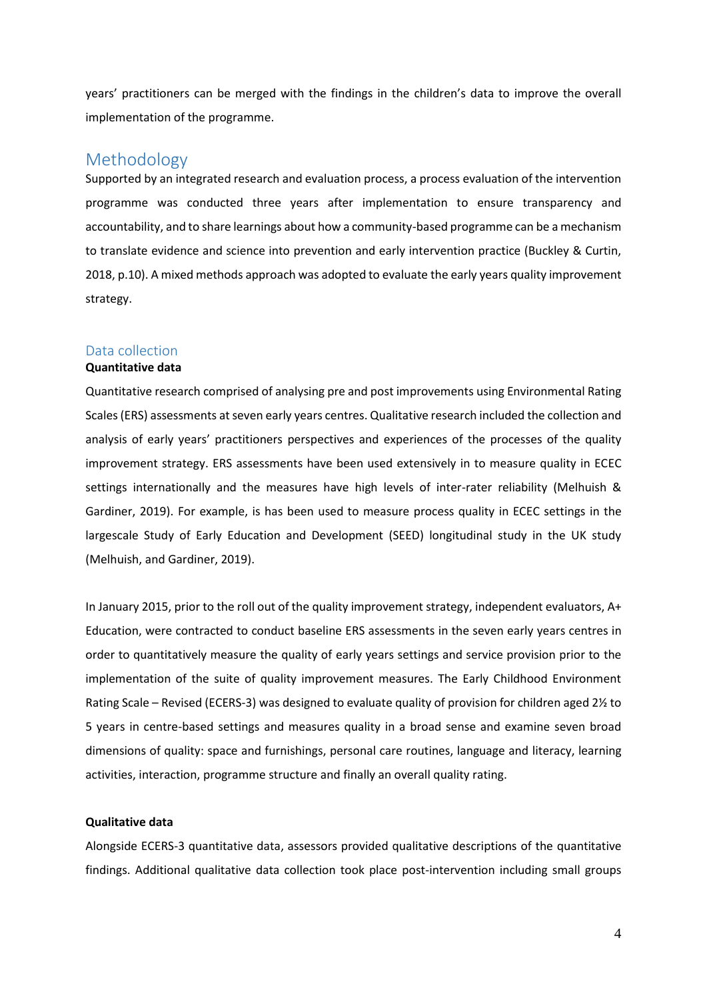years' practitioners can be merged with the findings in the children's data to improve the overall implementation of the programme.

## Methodology

Supported by an integrated research and evaluation process, a process evaluation of the intervention programme was conducted three years after implementation to ensure transparency and accountability, and to share learnings about how a community-based programme can be a mechanism to translate evidence and science into prevention and early intervention practice (Buckley & Curtin, 2018, p.10). A mixed methods approach was adopted to evaluate the early years quality improvement strategy.

## Data collection

### **Quantitative data**

Quantitative research comprised of analysing pre and post improvements using Environmental Rating Scales (ERS) assessments at seven early years centres. Qualitative research included the collection and analysis of early years' practitioners perspectives and experiences of the processes of the quality improvement strategy. ERS assessments have been used extensively in to measure quality in ECEC settings internationally and the measures have high levels of inter-rater reliability (Melhuish & Gardiner, 2019). For example, is has been used to measure process quality in ECEC settings in the largescale Study of Early Education and Development (SEED) longitudinal study in the UK study (Melhuish, and Gardiner, 2019).

In January 2015, prior to the roll out of the quality improvement strategy, independent evaluators, A+ Education, were contracted to conduct baseline ERS assessments in the seven early years centres in order to quantitatively measure the quality of early years settings and service provision prior to the implementation of the suite of quality improvement measures. The Early Childhood Environment Rating Scale – Revised (ECERS-3) was designed to evaluate quality of provision for children aged 2½ to 5 years in centre-based settings and measures quality in a broad sense and examine seven broad dimensions of quality: space and furnishings, personal care routines, language and literacy, learning activities, interaction, programme structure and finally an overall quality rating.

### **Qualitative data**

Alongside ECERS-3 quantitative data, assessors provided qualitative descriptions of the quantitative findings. Additional qualitative data collection took place post-intervention including small groups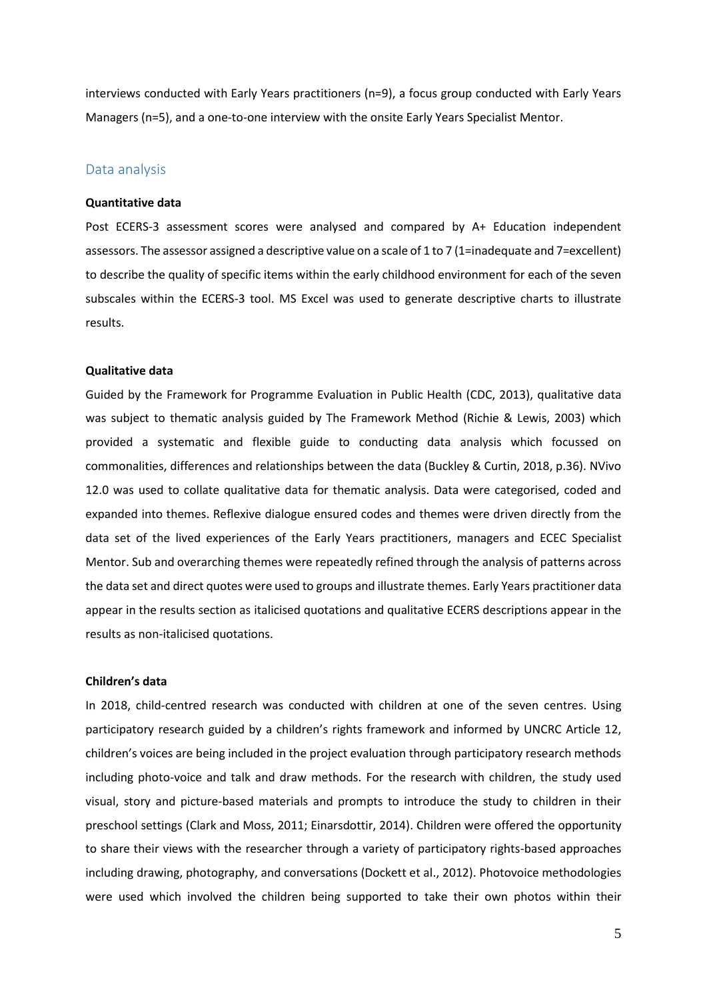interviews conducted with Early Years practitioners (n=9), a focus group conducted with Early Years Managers (n=5), and a one-to-one interview with the onsite Early Years Specialist Mentor.

# Data analysis

### **Quantitative data**

Post ECERS-3 assessment scores were analysed and compared by A+ Education independent assessors. The assessor assigned a descriptive value on a scale of 1 to 7 (1=inadequate and 7=excellent) to describe the quality of specific items within the early childhood environment for each of the seven subscales within the ECERS-3 tool. MS Excel was used to generate descriptive charts to illustrate results.

### **Qualitative data**

Guided by the Framework for Programme Evaluation in Public Health (CDC, 2013), qualitative data was subject to thematic analysis guided by The Framework Method (Richie & Lewis, 2003) which provided a systematic and flexible guide to conducting data analysis which focussed on commonalities, differences and relationships between the data (Buckley & Curtin, 2018, p.36). NVivo 12.0 was used to collate qualitative data for thematic analysis. Data were categorised, coded and expanded into themes. Reflexive dialogue ensured codes and themes were driven directly from the data set of the lived experiences of the Early Years practitioners, managers and ECEC Specialist Mentor. Sub and overarching themes were repeatedly refined through the analysis of patterns across the data set and direct quotes were used to groups and illustrate themes. Early Years practitioner data appear in the results section as italicised quotations and qualitative ECERS descriptions appear in the results as non-italicised quotations.

### **Children's data**

In 2018, child-centred research was conducted with children at one of the seven centres. Using participatory research guided by a children's rights framework and informed by UNCRC Article 12, children's voices are being included in the project evaluation through participatory research methods including photo-voice and talk and draw methods. For the research with children, the study used visual, story and picture-based materials and prompts to introduce the study to children in their preschool settings (Clark and Moss, 2011; Einarsdottir, 2014). Children were offered the opportunity to share their views with the researcher through a variety of participatory rights-based approaches including drawing, photography, and conversations (Dockett et al., 2012). Photovoice methodologies were used which involved the children being supported to take their own photos within their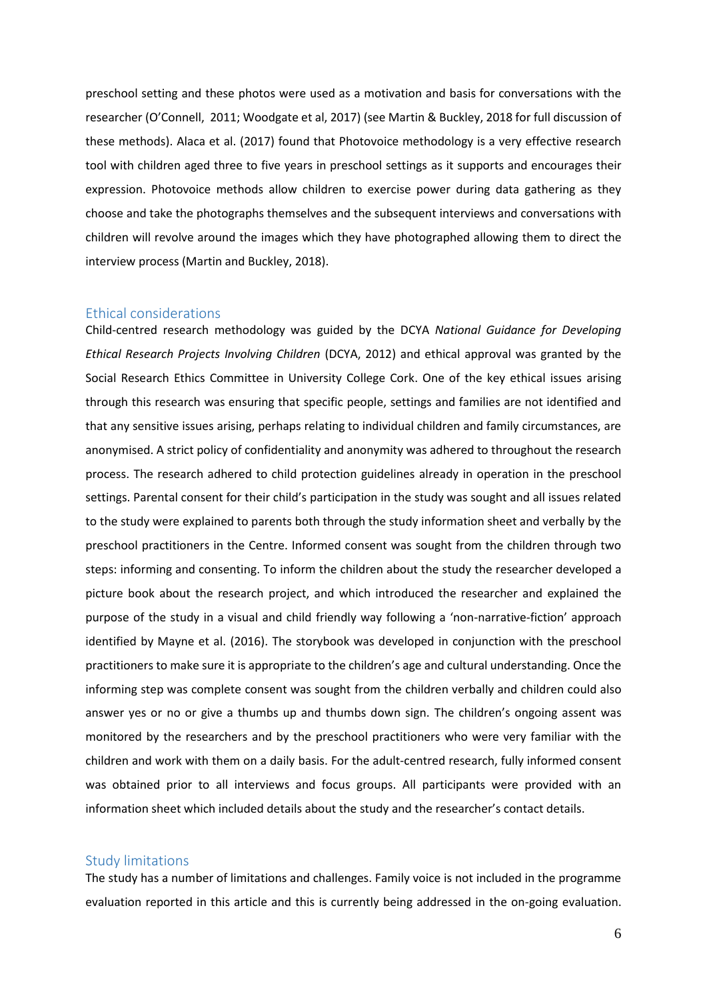preschool setting and these photos were used as a motivation and basis for conversations with the researcher (O'Connell, 2011; Woodgate et al, 2017) (see Martin & Buckley, 2018 for full discussion of these methods). Alaca et al. (2017) found that Photovoice methodology is a very effective research tool with children aged three to five years in preschool settings as it supports and encourages their expression. Photovoice methods allow children to exercise power during data gathering as they choose and take the photographs themselves and the subsequent interviews and conversations with children will revolve around the images which they have photographed allowing them to direct the interview process (Martin and Buckley, 2018).

### Ethical considerations

Child-centred research methodology was guided by the DCYA *National Guidance for Developing Ethical Research Projects Involving Children* (DCYA, 2012) and ethical approval was granted by the Social Research Ethics Committee in University College Cork. One of the key ethical issues arising through this research was ensuring that specific people, settings and families are not identified and that any sensitive issues arising, perhaps relating to individual children and family circumstances, are anonymised. A strict policy of confidentiality and anonymity was adhered to throughout the research process. The research adhered to child protection guidelines already in operation in the preschool settings. Parental consent for their child's participation in the study was sought and all issues related to the study were explained to parents both through the study information sheet and verbally by the preschool practitioners in the Centre. Informed consent was sought from the children through two steps: informing and consenting. To inform the children about the study the researcher developed a picture book about the research project, and which introduced the researcher and explained the purpose of the study in a visual and child friendly way following a 'non-narrative-fiction' approach identified by Mayne et al. (2016). The storybook was developed in conjunction with the preschool practitioners to make sure it is appropriate to the children's age and cultural understanding. Once the informing step was complete consent was sought from the children verbally and children could also answer yes or no or give a thumbs up and thumbs down sign. The children's ongoing assent was monitored by the researchers and by the preschool practitioners who were very familiar with the children and work with them on a daily basis. For the adult-centred research, fully informed consent was obtained prior to all interviews and focus groups. All participants were provided with an information sheet which included details about the study and the researcher's contact details.

### Study limitations

The study has a number of limitations and challenges. Family voice is not included in the programme evaluation reported in this article and this is currently being addressed in the on-going evaluation.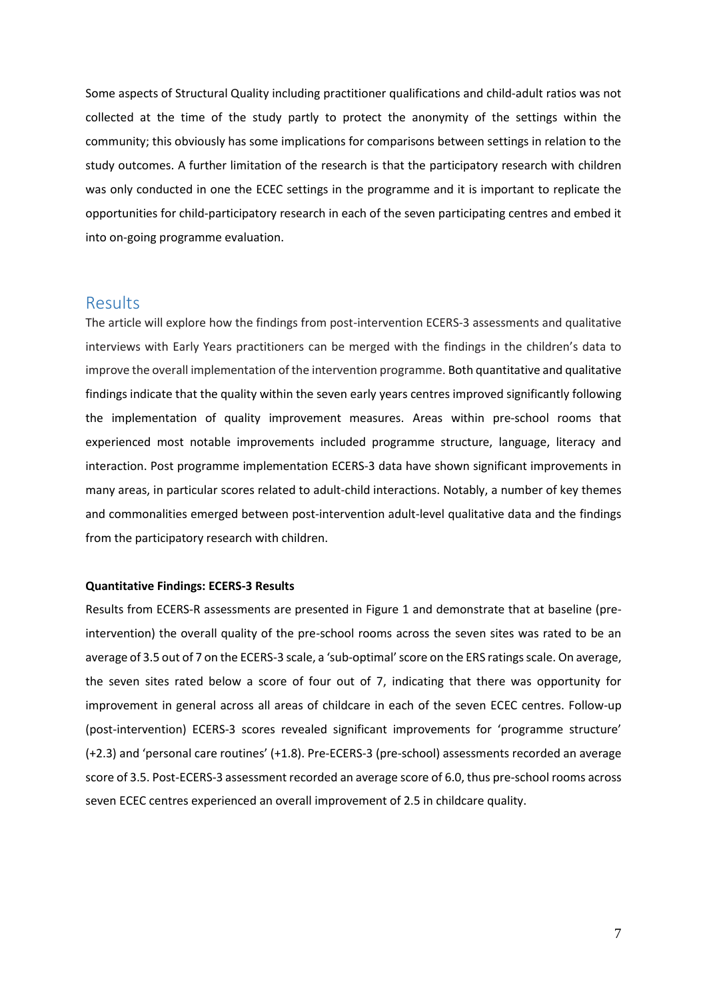Some aspects of Structural Quality including practitioner qualifications and child-adult ratios was not collected at the time of the study partly to protect the anonymity of the settings within the community; this obviously has some implications for comparisons between settings in relation to the study outcomes. A further limitation of the research is that the participatory research with children was only conducted in one the ECEC settings in the programme and it is important to replicate the opportunities for child-participatory research in each of the seven participating centres and embed it into on-going programme evaluation.

## Results

The article will explore how the findings from post-intervention ECERS-3 assessments and qualitative interviews with Early Years practitioners can be merged with the findings in the children's data to improve the overall implementation of the intervention programme. Both quantitative and qualitative findings indicate that the quality within the seven early years centres improved significantly following the implementation of quality improvement measures. Areas within pre-school rooms that experienced most notable improvements included programme structure, language, literacy and interaction. Post programme implementation ECERS-3 data have shown significant improvements in many areas, in particular scores related to adult-child interactions. Notably, a number of key themes and commonalities emerged between post-intervention adult-level qualitative data and the findings from the participatory research with children.

### **Quantitative Findings: ECERS-3 Results**

Results from ECERS-R assessments are presented in Figure 1 and demonstrate that at baseline (preintervention) the overall quality of the pre-school rooms across the seven sites was rated to be an average of 3.5 out of 7 on the ECERS-3 scale, a 'sub-optimal' score on the ERS ratings scale. On average, the seven sites rated below a score of four out of 7, indicating that there was opportunity for improvement in general across all areas of childcare in each of the seven ECEC centres. Follow-up (post-intervention) ECERS-3 scores revealed significant improvements for 'programme structure' (+2.3) and 'personal care routines' (+1.8). Pre-ECERS-3 (pre-school) assessments recorded an average score of 3.5. Post-ECERS-3 assessment recorded an average score of 6.0, thus pre-school rooms across seven ECEC centres experienced an overall improvement of 2.5 in childcare quality.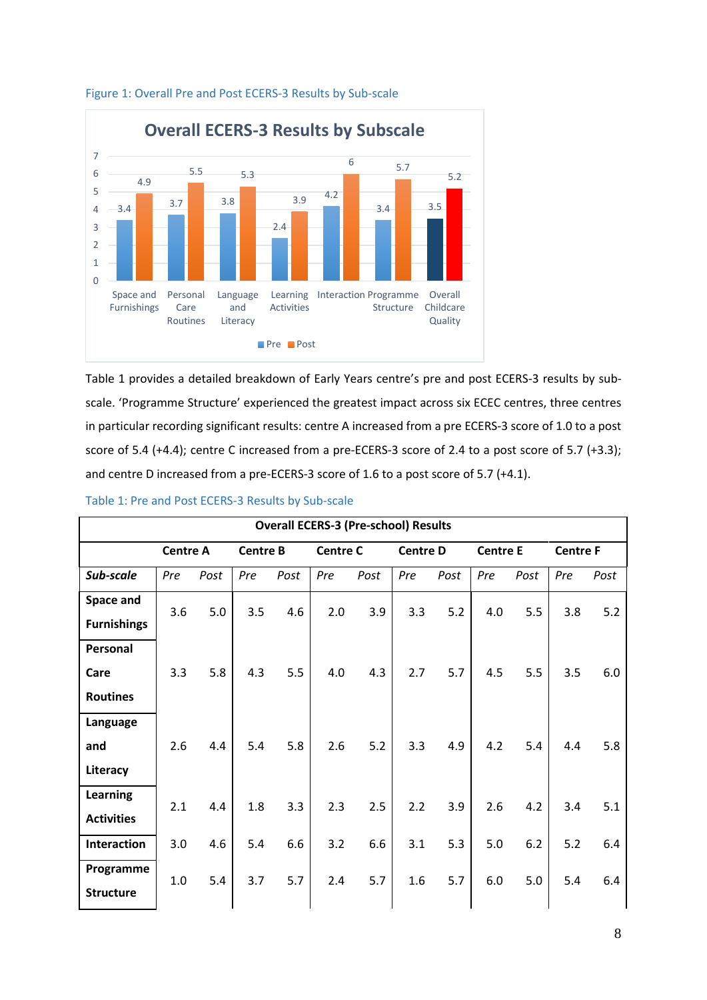

## Figure 1: Overall Pre and Post ECERS-3 Results by Sub-scale

Table 1 provides a detailed breakdown of Early Years centre's pre and post ECERS-3 results by subscale. 'Programme Structure' experienced the greatest impact across six ECEC centres, three centres in particular recording significant results: centre A increased from a pre ECERS-3 score of 1.0 to a post score of 5.4 (+4.4); centre C increased from a pre-ECERS-3 score of 2.4 to a post score of 5.7 (+3.3); and centre D increased from a pre-ECERS-3 score of 1.6 to a post score of 5.7 (+4.1).

| <b>Overall ECERS-3 (Pre-school) Results</b> |                 |      |                 |      |                 |      |                 |      |                 |      |                 |      |
|---------------------------------------------|-----------------|------|-----------------|------|-----------------|------|-----------------|------|-----------------|------|-----------------|------|
|                                             | <b>Centre A</b> |      | <b>Centre B</b> |      | <b>Centre C</b> |      | <b>Centre D</b> |      | <b>Centre E</b> |      | <b>Centre F</b> |      |
| Sub-scale                                   | Pre             | Post | Pre             | Post | Pre             | Post | Pre             | Post | Pre             | Post | Pre             | Post |
| Space and                                   | 3.6             | 5.0  | 3.5             | 4.6  | 2.0             | 3.9  | 3.3             | 5.2  | 4.0             | 5.5  | 3.8             | 5.2  |
| <b>Furnishings</b>                          |                 |      |                 |      |                 |      |                 |      |                 |      |                 |      |
| Personal                                    |                 |      |                 |      |                 |      |                 |      |                 |      |                 |      |
| Care                                        | 3.3             | 5.8  | 4.3             | 5.5  | 4.0             | 4.3  | 2.7             | 5.7  | 4.5             | 5.5  | 3.5             | 6.0  |
| <b>Routines</b>                             |                 |      |                 |      |                 |      |                 |      |                 |      |                 |      |
| Language                                    |                 |      |                 |      |                 |      |                 |      |                 |      |                 |      |
| and                                         | 2.6             | 4.4  | 5.4             | 5.8  | 2.6             | 5.2  | 3.3             | 4.9  | 4.2             | 5.4  | 4.4             | 5.8  |
| Literacy                                    |                 |      |                 |      |                 |      |                 |      |                 |      |                 |      |
| <b>Learning</b>                             | 2.1             | 4.4  | 1.8             | 3.3  | 2.3             | 2.5  | 2.2             | 3.9  | 2.6             | 4.2  | 3.4             | 5.1  |
| <b>Activities</b>                           |                 |      |                 |      |                 |      |                 |      |                 |      |                 |      |
| <b>Interaction</b>                          | 3.0             | 4.6  | 5.4             | 6.6  | 3.2             | 6.6  | 3.1             | 5.3  | 5.0             | 6.2  | 5.2             | 6.4  |
| Programme                                   | 1.0             | 5.4  | 3.7             | 5.7  | 2.4             | 5.7  | 1.6             | 5.7  | 6.0             | 5.0  | 5.4             | 6.4  |
| <b>Structure</b>                            |                 |      |                 |      |                 |      |                 |      |                 |      |                 |      |

### Table 1: Pre and Post ECERS-3 Results by Sub-scale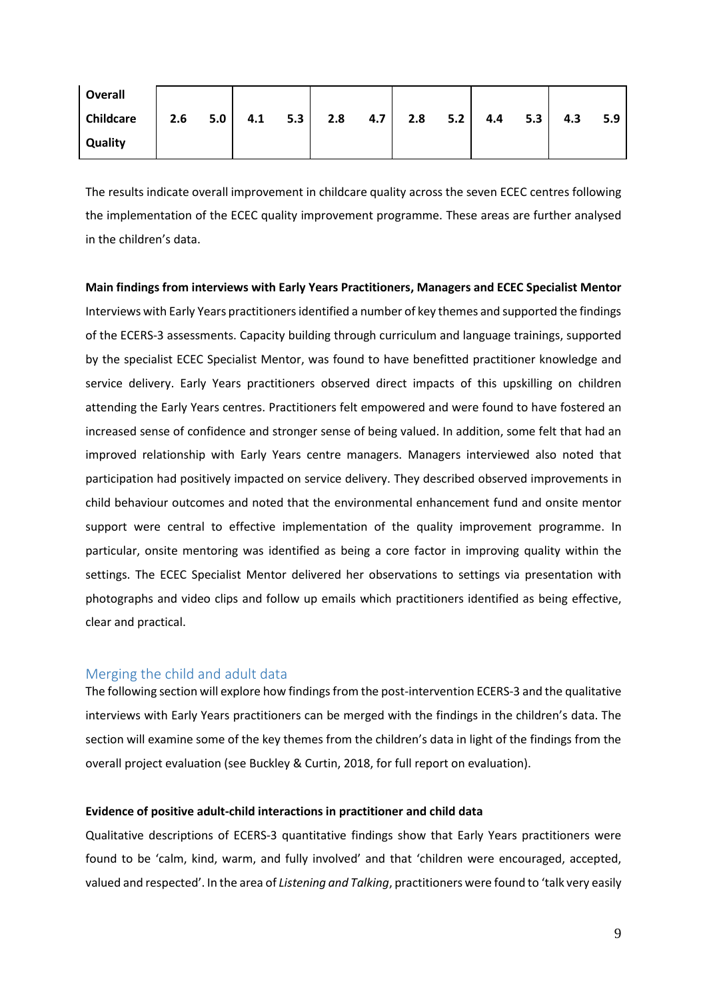| <b>Overall</b>   |  |                   |  |           |  |               |     |     |     |
|------------------|--|-------------------|--|-----------|--|---------------|-----|-----|-----|
| <b>Childcare</b> |  | 2.6 $5.0$ 4.1 5.3 |  | $2.8$ 4.7 |  | $2.8$ 5.2 4.4 | 5.3 | 4.3 | 5.9 |
| <b>Quality</b>   |  |                   |  |           |  |               |     |     |     |

The results indicate overall improvement in childcare quality across the seven ECEC centres following the implementation of the ECEC quality improvement programme. These areas are further analysed in the children's data.

**Main findings from interviews with Early Years Practitioners, Managers and ECEC Specialist Mentor** Interviews with Early Years practitionersidentified a number of key themes and supported the findings of the ECERS-3 assessments. Capacity building through curriculum and language trainings, supported by the specialist ECEC Specialist Mentor, was found to have benefitted practitioner knowledge and service delivery. Early Years practitioners observed direct impacts of this upskilling on children attending the Early Years centres. Practitioners felt empowered and were found to have fostered an increased sense of confidence and stronger sense of being valued. In addition, some felt that had an improved relationship with Early Years centre managers. Managers interviewed also noted that participation had positively impacted on service delivery. They described observed improvements in child behaviour outcomes and noted that the environmental enhancement fund and onsite mentor support were central to effective implementation of the quality improvement programme. In particular, onsite mentoring was identified as being a core factor in improving quality within the settings. The ECEC Specialist Mentor delivered her observations to settings via presentation with photographs and video clips and follow up emails which practitioners identified as being effective, clear and practical.

## Merging the child and adult data

The following section will explore how findings from the post-intervention ECERS-3 and the qualitative interviews with Early Years practitioners can be merged with the findings in the children's data. The section will examine some of the key themes from the children's data in light of the findings from the overall project evaluation (see Buckley & Curtin, 2018, for full report on evaluation).

### **Evidence of positive adult-child interactions in practitioner and child data**

Qualitative descriptions of ECERS-3 quantitative findings show that Early Years practitioners were found to be 'calm, kind, warm, and fully involved' and that 'children were encouraged, accepted, valued and respected'. In the area of *Listening and Talking*, practitioners were found to 'talk very easily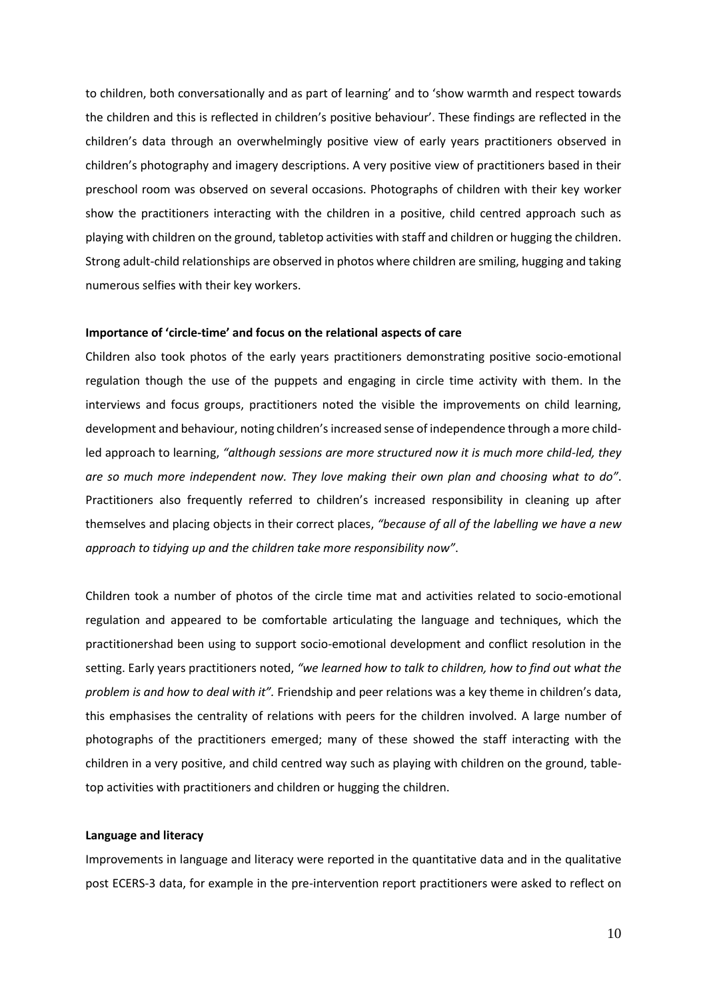to children, both conversationally and as part of learning' and to 'show warmth and respect towards the children and this is reflected in children's positive behaviour'. These findings are reflected in the children's data through an overwhelmingly positive view of early years practitioners observed in children's photography and imagery descriptions. A very positive view of practitioners based in their preschool room was observed on several occasions. Photographs of children with their key worker show the practitioners interacting with the children in a positive, child centred approach such as playing with children on the ground, tabletop activities with staff and children or hugging the children. Strong adult-child relationships are observed in photos where children are smiling, hugging and taking numerous selfies with their key workers.

### **Importance of 'circle-time' and focus on the relational aspects of care**

Children also took photos of the early years practitioners demonstrating positive socio-emotional regulation though the use of the puppets and engaging in circle time activity with them. In the interviews and focus groups, practitioners noted the visible the improvements on child learning, development and behaviour, noting children's increased sense of independence through a more childled approach to learning, *"although sessions are more structured now it is much more child-led, they are so much more independent now. They love making their own plan and choosing what to do"*. Practitioners also frequently referred to children's increased responsibility in cleaning up after themselves and placing objects in their correct places, *"because of all of the labelling we have a new approach to tidying up and the children take more responsibility now"*.

Children took a number of photos of the circle time mat and activities related to socio-emotional regulation and appeared to be comfortable articulating the language and techniques, which the practitionershad been using to support socio-emotional development and conflict resolution in the setting. Early years practitioners noted, *"we learned how to talk to children, how to find out what the problem is and how to deal with it".* Friendship and peer relations was a key theme in children's data, this emphasises the centrality of relations with peers for the children involved. A large number of photographs of the practitioners emerged; many of these showed the staff interacting with the children in a very positive, and child centred way such as playing with children on the ground, tabletop activities with practitioners and children or hugging the children.

#### **Language and literacy**

Improvements in language and literacy were reported in the quantitative data and in the qualitative post ECERS-3 data, for example in the pre-intervention report practitioners were asked to reflect on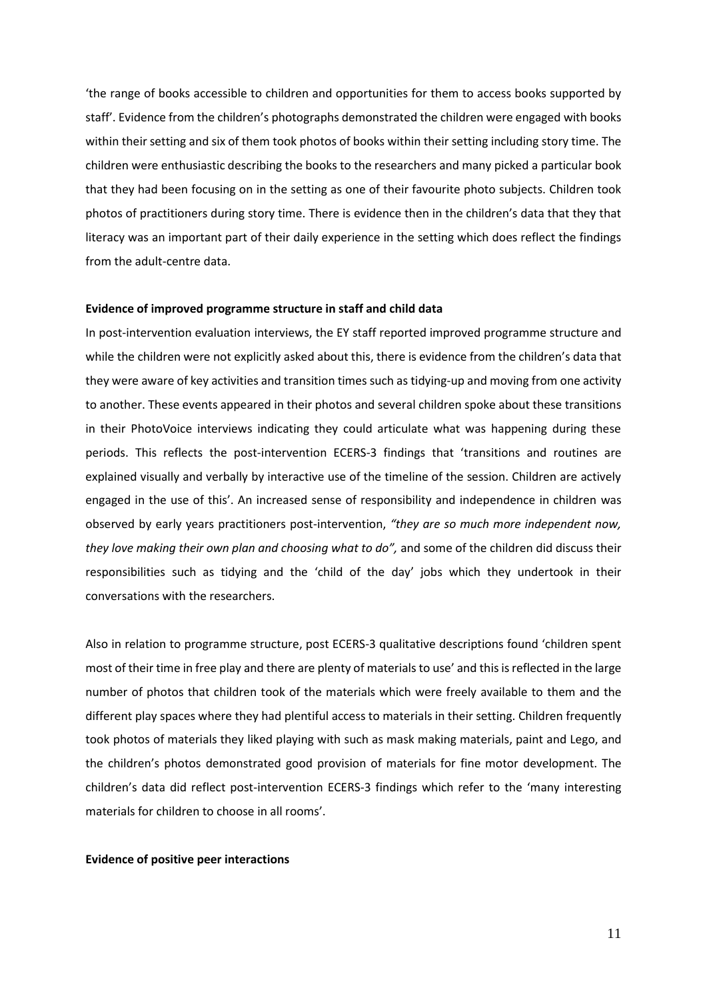'the range of books accessible to children and opportunities for them to access books supported by staff'. Evidence from the children's photographs demonstrated the children were engaged with books within their setting and six of them took photos of books within their setting including story time. The children were enthusiastic describing the books to the researchers and many picked a particular book that they had been focusing on in the setting as one of their favourite photo subjects. Children took photos of practitioners during story time. There is evidence then in the children's data that they that literacy was an important part of their daily experience in the setting which does reflect the findings from the adult-centre data.

### **Evidence of improved programme structure in staff and child data**

In post-intervention evaluation interviews, the EY staff reported improved programme structure and while the children were not explicitly asked about this, there is evidence from the children's data that they were aware of key activities and transition times such as tidying-up and moving from one activity to another. These events appeared in their photos and several children spoke about these transitions in their PhotoVoice interviews indicating they could articulate what was happening during these periods. This reflects the post-intervention ECERS-3 findings that 'transitions and routines are explained visually and verbally by interactive use of the timeline of the session. Children are actively engaged in the use of this'. An increased sense of responsibility and independence in children was observed by early years practitioners post-intervention, *"they are so much more independent now, they love making their own plan and choosing what to do",* and some of the children did discuss their responsibilities such as tidying and the 'child of the day' jobs which they undertook in their conversations with the researchers.

Also in relation to programme structure, post ECERS-3 qualitative descriptions found 'children spent most of their time in free play and there are plenty of materials to use' and this is reflected in the large number of photos that children took of the materials which were freely available to them and the different play spaces where they had plentiful access to materials in their setting. Children frequently took photos of materials they liked playing with such as mask making materials, paint and Lego, and the children's photos demonstrated good provision of materials for fine motor development. The children's data did reflect post-intervention ECERS-3 findings which refer to the 'many interesting materials for children to choose in all rooms'.

#### **Evidence of positive peer interactions**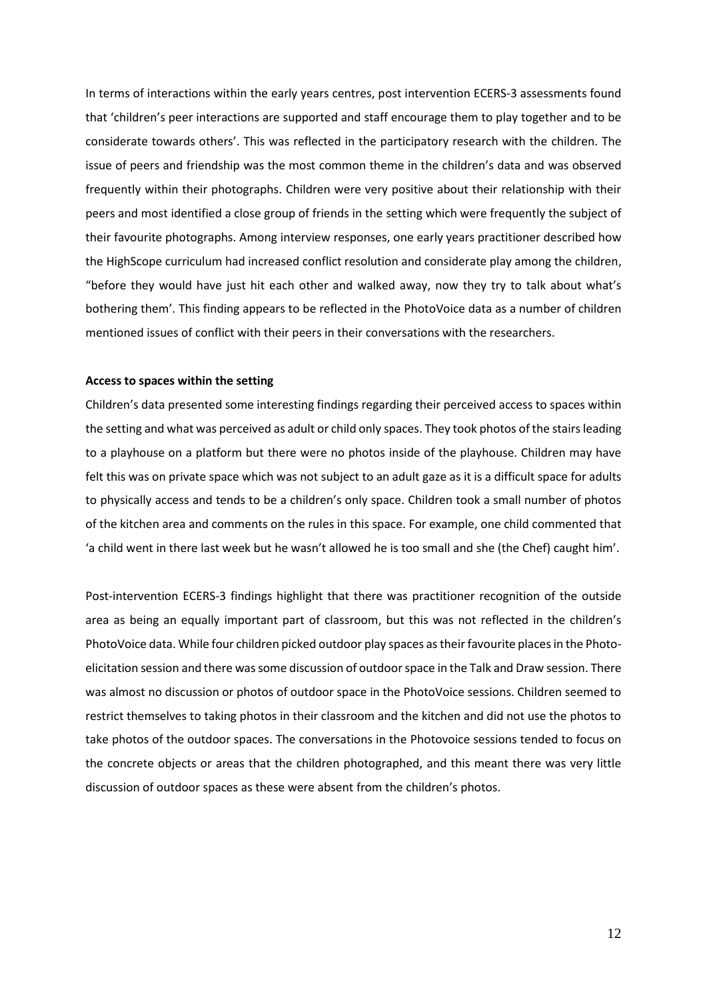In terms of interactions within the early years centres, post intervention ECERS-3 assessments found that 'children's peer interactions are supported and staff encourage them to play together and to be considerate towards others'. This was reflected in the participatory research with the children. The issue of peers and friendship was the most common theme in the children's data and was observed frequently within their photographs. Children were very positive about their relationship with their peers and most identified a close group of friends in the setting which were frequently the subject of their favourite photographs. Among interview responses, one early years practitioner described how the HighScope curriculum had increased conflict resolution and considerate play among the children, "before they would have just hit each other and walked away, now they try to talk about what's bothering them'. This finding appears to be reflected in the PhotoVoice data as a number of children mentioned issues of conflict with their peers in their conversations with the researchers.

### **Access to spaces within the setting**

Children's data presented some interesting findings regarding their perceived access to spaces within the setting and what was perceived as adult or child only spaces. They took photos of the stairs leading to a playhouse on a platform but there were no photos inside of the playhouse. Children may have felt this was on private space which was not subject to an adult gaze as it is a difficult space for adults to physically access and tends to be a children's only space. Children took a small number of photos of the kitchen area and comments on the rules in this space. For example, one child commented that 'a child went in there last week but he wasn't allowed he is too small and she (the Chef) caught him'.

Post-intervention ECERS-3 findings highlight that there was practitioner recognition of the outside area as being an equally important part of classroom, but this was not reflected in the children's PhotoVoice data. While four children picked outdoor play spaces as their favourite places in the Photoelicitation session and there was some discussion of outdoor space in the Talk and Draw session. There was almost no discussion or photos of outdoor space in the PhotoVoice sessions. Children seemed to restrict themselves to taking photos in their classroom and the kitchen and did not use the photos to take photos of the outdoor spaces. The conversations in the Photovoice sessions tended to focus on the concrete objects or areas that the children photographed, and this meant there was very little discussion of outdoor spaces as these were absent from the children's photos.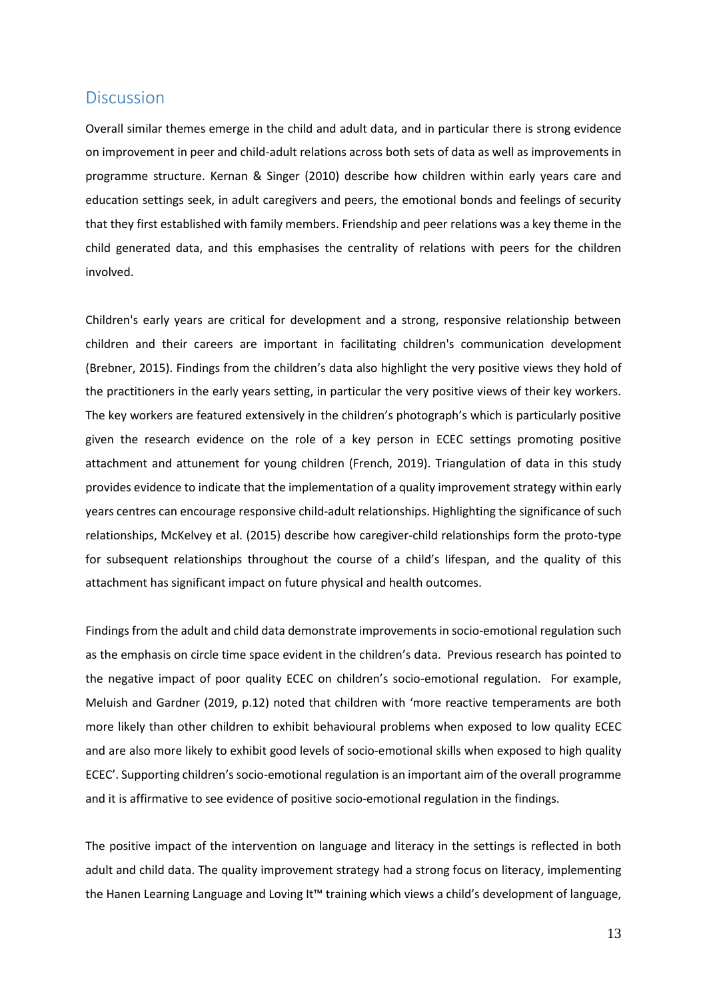## **Discussion**

Overall similar themes emerge in the child and adult data, and in particular there is strong evidence on improvement in peer and child-adult relations across both sets of data as well as improvements in programme structure. Kernan & Singer (2010) describe how children within early years care and education settings seek, in adult caregivers and peers, the emotional bonds and feelings of security that they first established with family members. Friendship and peer relations was a key theme in the child generated data, and this emphasises the centrality of relations with peers for the children involved.

Children's early years are critical for development and a strong, responsive relationship between children and their careers are important in facilitating children's communication development (Brebner, 2015). Findings from the children's data also highlight the very positive views they hold of the practitioners in the early years setting, in particular the very positive views of their key workers. The key workers are featured extensively in the children's photograph's which is particularly positive given the research evidence on the role of a key person in ECEC settings promoting positive attachment and attunement for young children (French, 2019). Triangulation of data in this study provides evidence to indicate that the implementation of a quality improvement strategy within early years centres can encourage responsive child-adult relationships. Highlighting the significance of such relationships, McKelvey et al. (2015) describe how caregiver-child relationships form the proto-type for subsequent relationships throughout the course of a child's lifespan, and the quality of this attachment has significant impact on future physical and health outcomes.

Findings from the adult and child data demonstrate improvements in socio-emotional regulation such as the emphasis on circle time space evident in the children's data. Previous research has pointed to the negative impact of poor quality ECEC on children's socio-emotional regulation. For example, Meluish and Gardner (2019, p.12) noted that children with 'more reactive temperaments are both more likely than other children to exhibit behavioural problems when exposed to low quality ECEC and are also more likely to exhibit good levels of socio-emotional skills when exposed to high quality ECEC'. Supporting children's socio-emotional regulation is an important aim of the overall programme and it is affirmative to see evidence of positive socio-emotional regulation in the findings.

The positive impact of the intervention on language and literacy in the settings is reflected in both adult and child data. The quality improvement strategy had a strong focus on literacy, implementing the Hanen Learning Language and Loving It™ training which views a child's development of language,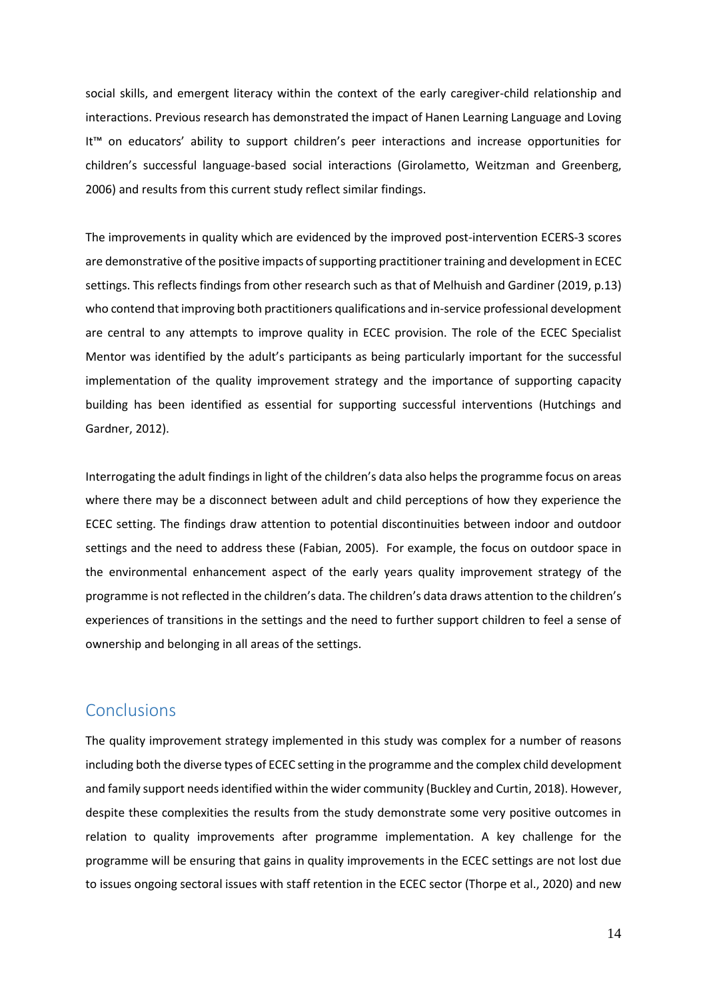social skills, and emergent literacy within the context of the early caregiver-child relationship and interactions. Previous research has demonstrated the impact of Hanen Learning Language and Loving It™ on educators' ability to support children's peer interactions and increase opportunities for children's successful language-based social interactions (Girolametto, Weitzman and Greenberg, 2006) and results from this current study reflect similar findings.

The improvements in quality which are evidenced by the improved post-intervention ECERS-3 scores are demonstrative of the positive impacts of supporting practitioner training and development in ECEC settings. This reflects findings from other research such as that of Melhuish and Gardiner (2019, p.13) who contend that improving both practitioners qualifications and in-service professional development are central to any attempts to improve quality in ECEC provision. The role of the ECEC Specialist Mentor was identified by the adult's participants as being particularly important for the successful implementation of the quality improvement strategy and the importance of supporting capacity building has been identified as essential for supporting successful interventions (Hutchings and Gardner, 2012).

Interrogating the adult findings in light of the children's data also helps the programme focus on areas where there may be a disconnect between adult and child perceptions of how they experience the ECEC setting. The findings draw attention to potential discontinuities between indoor and outdoor settings and the need to address these (Fabian, 2005). For example, the focus on outdoor space in the environmental enhancement aspect of the early years quality improvement strategy of the programme is not reflected in the children's data. The children's data draws attention to the children's experiences of transitions in the settings and the need to further support children to feel a sense of ownership and belonging in all areas of the settings.

# **Conclusions**

The quality improvement strategy implemented in this study was complex for a number of reasons including both the diverse types of ECEC setting in the programme and the complex child development and family support needs identified within the wider community (Buckley and Curtin, 2018). However, despite these complexities the results from the study demonstrate some very positive outcomes in relation to quality improvements after programme implementation. A key challenge for the programme will be ensuring that gains in quality improvements in the ECEC settings are not lost due to issues ongoing sectoral issues with staff retention in the ECEC sector (Thorpe et al., 2020) and new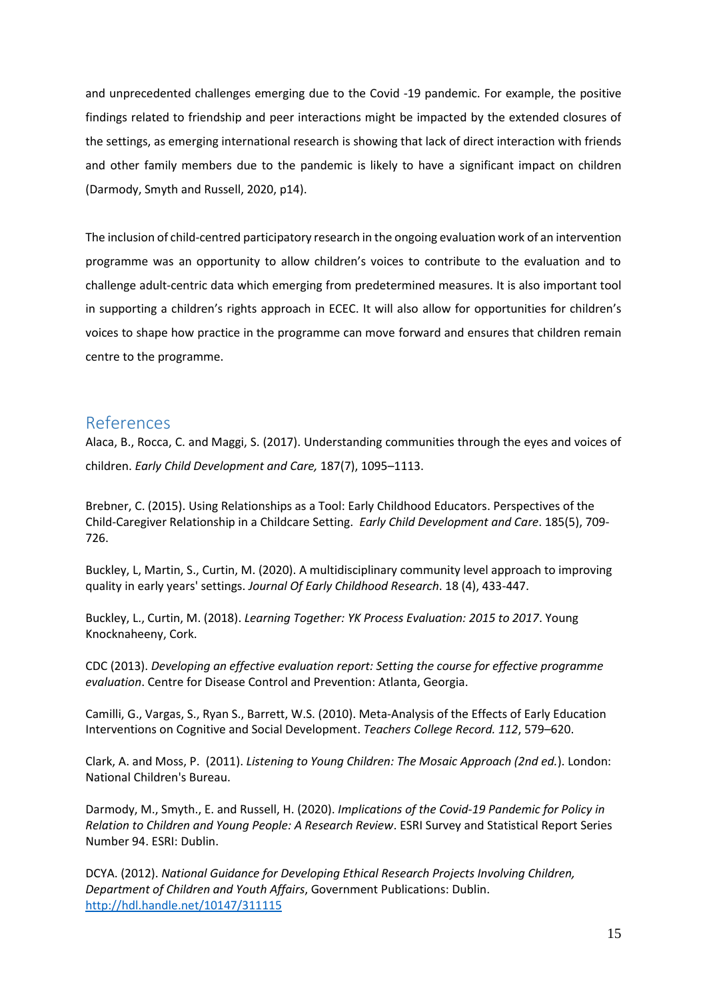and unprecedented challenges emerging due to the Covid -19 pandemic. For example, the positive findings related to friendship and peer interactions might be impacted by the extended closures of the settings, as emerging international research is showing that lack of direct interaction with friends and other family members due to the pandemic is likely to have a significant impact on children (Darmody, Smyth and Russell, 2020, p14).

The inclusion of child-centred participatory research in the ongoing evaluation work of an intervention programme was an opportunity to allow children's voices to contribute to the evaluation and to challenge adult-centric data which emerging from predetermined measures. It is also important tool in supporting a children's rights approach in ECEC. It will also allow for opportunities for children's voices to shape how practice in the programme can move forward and ensures that children remain centre to the programme.

# References

Alaca, B., Rocca, C. and Maggi, S. (2017). Understanding communities through the eyes and voices of children. *Early Child Development and Care,* 187(7), 1095–1113.

Brebner, C. (2015). Using Relationships as a Tool: Early Childhood Educators. Perspectives of the Child-Caregiver Relationship in a Childcare Setting. *Early Child Development and Care*. 185(5), 709- 726.

Buckley, L, Martin, S., Curtin, M. (2020). A multidisciplinary community level approach to improving quality in early years' settings. *Journal Of Early Childhood Research*. 18 (4), 433-447.

Buckley, L., Curtin, M. (2018). *Learning Together: YK Process Evaluation: 2015 to 2017*. Young Knocknaheeny, Cork.

CDC (2013). *Developing an effective evaluation report: Setting the course for effective programme evaluation*. Centre for Disease Control and Prevention: Atlanta, Georgia.

Camilli, G., Vargas, S., Ryan S., Barrett, W.S. (2010). Meta-Analysis of the Effects of Early Education Interventions on Cognitive and Social Development. *Teachers College Record. 112*, 579–620.

Clark, A. and Moss, P. (2011). *Listening to Young Children: The Mosaic Approach (2nd ed.*). London: National Children's Bureau.

Darmody, M., Smyth., E. and Russell, H. (2020). *Implications of the Covid-19 Pandemic for Policy in Relation to Children and Young People: A Research Review*. ESRI Survey and Statistical Report Series Number 94. ESRI: Dublin.

DCYA. (2012). *National Guidance for Developing Ethical Research Projects Involving Children, Department of Children and Youth Affairs*, Government Publications: Dublin. <http://hdl.handle.net/10147/311115>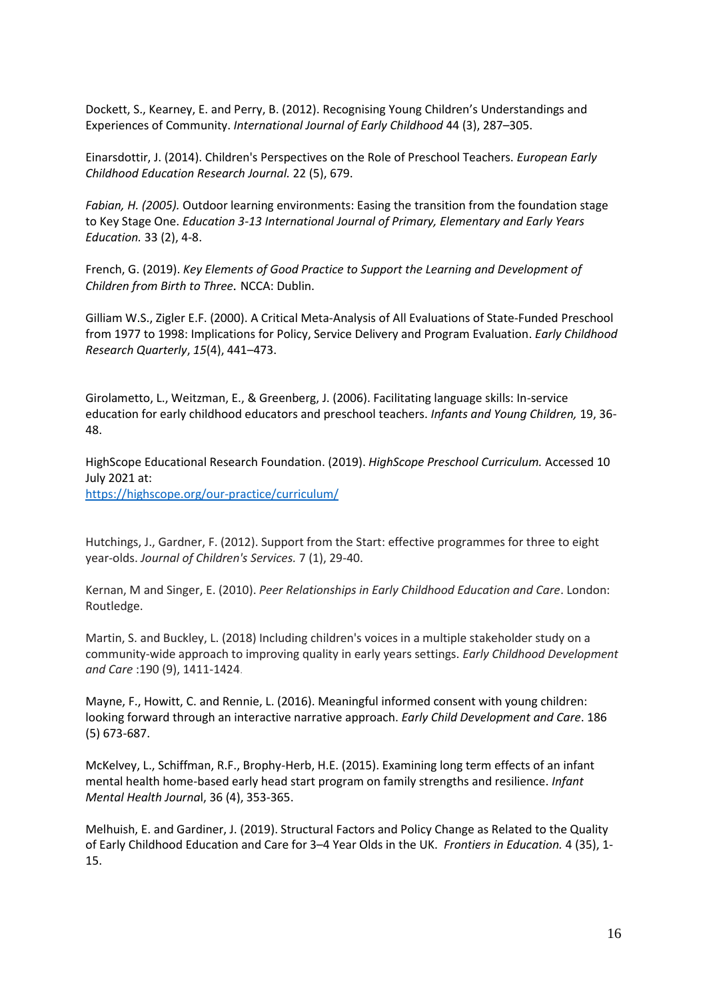Dockett, S., Kearney, E. and Perry, B. (2012). Recognising Young Children's Understandings and Experiences of Community. *International Journal of Early Childhood* 44 (3), 287–305.

Einarsdottir, J. (2014). Children's Perspectives on the Role of Preschool Teachers. *European Early Childhood Education Research Journal.* 22 (5), 679.

*Fabian, H. (2005).* Outdoor learning environments: Easing the transition from the foundation stage to Key Stage One. *Education 3-13 International Journal of Primary, Elementary and Early Years Education.* 33 (2), 4-8.

French, G. (2019). *Key Elements of Good Practice to Support the Learning and Development of Children from Birth to Three.* NCCA: Dublin.

Gilliam W.S., Zigler E.F. (2000). A Critical Meta-Analysis of All Evaluations of State-Funded Preschool from 1977 to 1998: Implications for Policy, Service Delivery and Program Evaluation. *Early Childhood Research Quarterly*, *15*(4), 441–473.

Girolametto, L., Weitzman, E., & Greenberg, J. (2006). Facilitating language skills: In-service education for early childhood educators and preschool teachers. *Infants and Young Children,* 19, 36- 48.

HighScope Educational Research Foundation. (2019). *HighScope Preschool Curriculum.* Accessed 10 July 2021 at:

<https://highscope.org/our-practice/curriculum/>

Hutchings, J., Gardner, F. (2012). Support from the Start: effective programmes for three to eight year‐olds. *Journal of Children's Services.* 7 (1), 29-40.

Kernan, M and Singer, E. (2010). *Peer Relationships in Early Childhood Education and Care*. London: Routledge.

Martin, S. and Buckley, L. (2018) Including children's voices in a multiple stakeholder study on a community-wide approach to improving quality in early years settings. *Early Childhood Development and Care* :190 (9), 1411-1424.

Mayne, F., Howitt, C. and Rennie, L. (2016). Meaningful informed consent with young children: looking forward through an interactive narrative approach. *Early Child Development and Care*. 186 (5) 673-687.

McKelvey, L., Schiffman, R.F., Brophy-Herb, H.E. (2015). Examining long term effects of an infant mental health home-based early head start program on family strengths and resilience. *Infant Mental Health Journa*l, 36 (4), 353-365.

Melhuish, E. and Gardiner, J. (2019). Structural Factors and Policy Change as Related to the Quality of Early Childhood Education and Care for 3–4 Year Olds in the UK. *Frontiers in Education.* 4 (35), 1- 15.